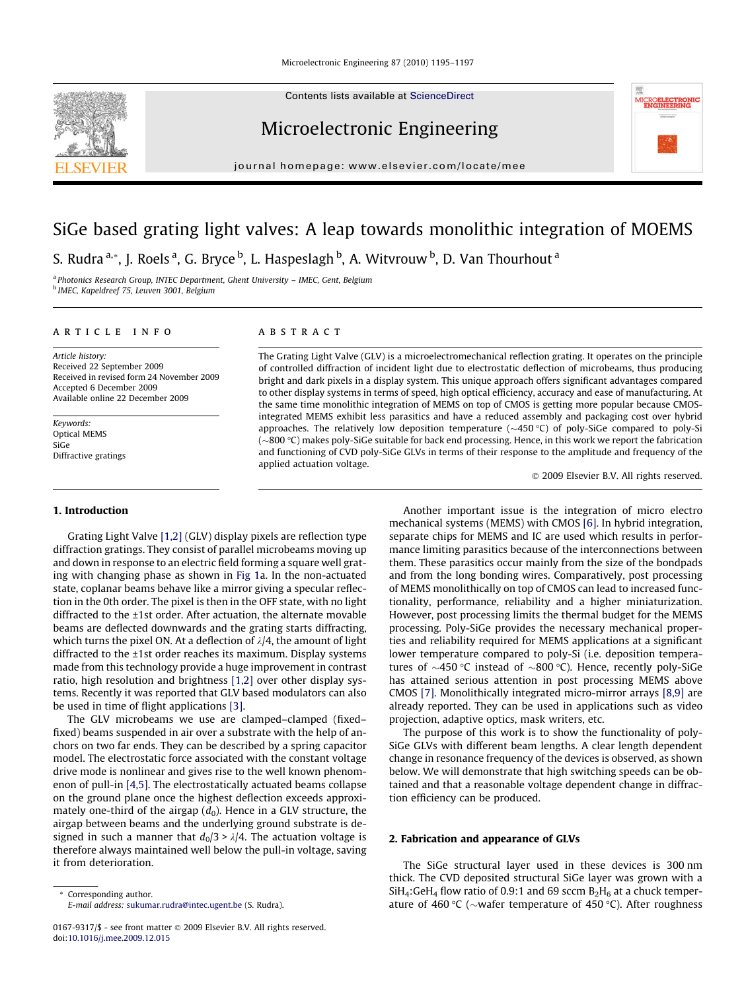Contents lists available at [ScienceDirect](http://www.sciencedirect.com/science/journal/01679317)

# Microelectronic Engineering

journal homepage: [www.elsevier.com/locate/mee](http://www.elsevier.com/locate/mee)

# SiGe based grating light valves: A leap towards monolithic integration of MOEMS S. Rudra <sup>a,</sup>\*, J. Roels <sup>a</sup>, G. Bryce <sup>b</sup>, L. Haspeslagh <sup>b</sup>, A. Witvrouw <sup>b</sup>, D. Van Thourhout <sup>a</sup>

<sup>a</sup> Photonics Research Group, INTEC Department, Ghent University – IMEC, Gent, Belgium <sup>b</sup> IMEC, Kapeldreef 75, Leuven 3001, Belgium

#### article info

Article history: Received 22 September 2009 Received in revised form 24 November 2009 Accepted 6 December 2009 Available online 22 December 2009

Keywords: Optical MEMS SiGe Diffractive gratings

#### 1. Introduction

Grating Light Valve [\[1,2\]](#page-2-0) (GLV) display pixels are reflection type diffraction gratings. They consist of parallel microbeams moving up and down in response to an electric field forming a square well grating with changing phase as shown in [Fig 1](#page-1-0)a. In the non-actuated state, coplanar beams behave like a mirror giving a specular reflection in the 0th order. The pixel is then in the OFF state, with no light diffracted to the ±1st order. After actuation, the alternate movable beams are deflected downwards and the grating starts diffracting, which turns the pixel ON. At a deflection of  $\lambda/4$ , the amount of light diffracted to the ±1st order reaches its maximum. Display systems made from this technology provide a huge improvement in contrast ratio, high resolution and brightness [\[1,2\]](#page-2-0) over other display systems. Recently it was reported that GLV based modulators can also be used in time of flight applications [\[3\]](#page-2-0).

The GLV microbeams we use are clamped–clamped (fixed– fixed) beams suspended in air over a substrate with the help of anchors on two far ends. They can be described by a spring capacitor model. The electrostatic force associated with the constant voltage drive mode is nonlinear and gives rise to the well known phenomenon of pull-in [\[4,5\]](#page-2-0). The electrostatically actuated beams collapse on the ground plane once the highest deflection exceeds approximately one-third of the airgap  $(d_0)$ . Hence in a GLV structure, the airgap between beams and the underlying ground substrate is designed in such a manner that  $d_0/3$  >  $\lambda/4$ . The actuation voltage is therefore always maintained well below the pull-in voltage, saving it from deterioration.

Corresponding author. E-mail address: [sukumar.rudra@intec.ugent.be](mailto:sukumar.rudra@intec.ugent.be) (S. Rudra).

## **ABSTRACT**

The Grating Light Valve (GLV) is a microelectromechanical reflection grating. It operates on the principle of controlled diffraction of incident light due to electrostatic deflection of microbeams, thus producing bright and dark pixels in a display system. This unique approach offers significant advantages compared to other display systems in terms of speed, high optical efficiency, accuracy and ease of manufacturing. At the same time monolithic integration of MEMS on top of CMOS is getting more popular because CMOSintegrated MEMS exhibit less parasitics and have a reduced assembly and packaging cost over hybrid approaches. The relatively low deposition temperature ( $\sim$ 450 °C) of poly-SiGe compared to poly-Si (~800 °C) makes poly-SiGe suitable for back end processing. Hence, in this work we report the fabrication and functioning of CVD poly-SiGe GLVs in terms of their response to the amplitude and frequency of the applied actuation voltage.

2009 Elsevier B.V. All rights reserved.

Another important issue is the integration of micro electro mechanical systems (MEMS) with CMOS [\[6\].](#page-2-0) In hybrid integration, separate chips for MEMS and IC are used which results in performance limiting parasitics because of the interconnections between them. These parasitics occur mainly from the size of the bondpads and from the long bonding wires. Comparatively, post processing of MEMS monolithically on top of CMOS can lead to increased functionality, performance, reliability and a higher miniaturization. However, post processing limits the thermal budget for the MEMS processing. Poly-SiGe provides the necessary mechanical properties and reliability required for MEMS applications at a significant lower temperature compared to poly-Si (i.e. deposition temperatures of  ${\sim}450\,^{\circ}\text{C}$  instead of  ${\sim}800\,^{\circ}\text{C}$ ). Hence, recently poly-SiGe has attained serious attention in post processing MEMS above CMOS [\[7\].](#page-2-0) Monolithically integrated micro-mirror arrays [\[8,9\]](#page-2-0) are already reported. They can be used in applications such as video projection, adaptive optics, mask writers, etc.

The purpose of this work is to show the functionality of poly-SiGe GLVs with different beam lengths. A clear length dependent change in resonance frequency of the devices is observed, as shown below. We will demonstrate that high switching speeds can be obtained and that a reasonable voltage dependent change in diffraction efficiency can be produced.

#### 2. Fabrication and appearance of GLVs

The SiGe structural layer used in these devices is 300 nm thick. The CVD deposited structural SiGe layer was grown with a  $SiH_4$ :GeH<sub>4</sub> flow ratio of 0.9:1 and 69 sccm  $B_2H_6$  at a chuck temperature of 460 °C ( $\sim$ wafer temperature of 450 °C). After roughness



<sup>0167-9317/\$ -</sup> see front matter © 2009 Elsevier B.V. All rights reserved. doi[:10.1016/j.mee.2009.12.015](http://dx.doi.org/10.1016/j.mee.2009.12.015)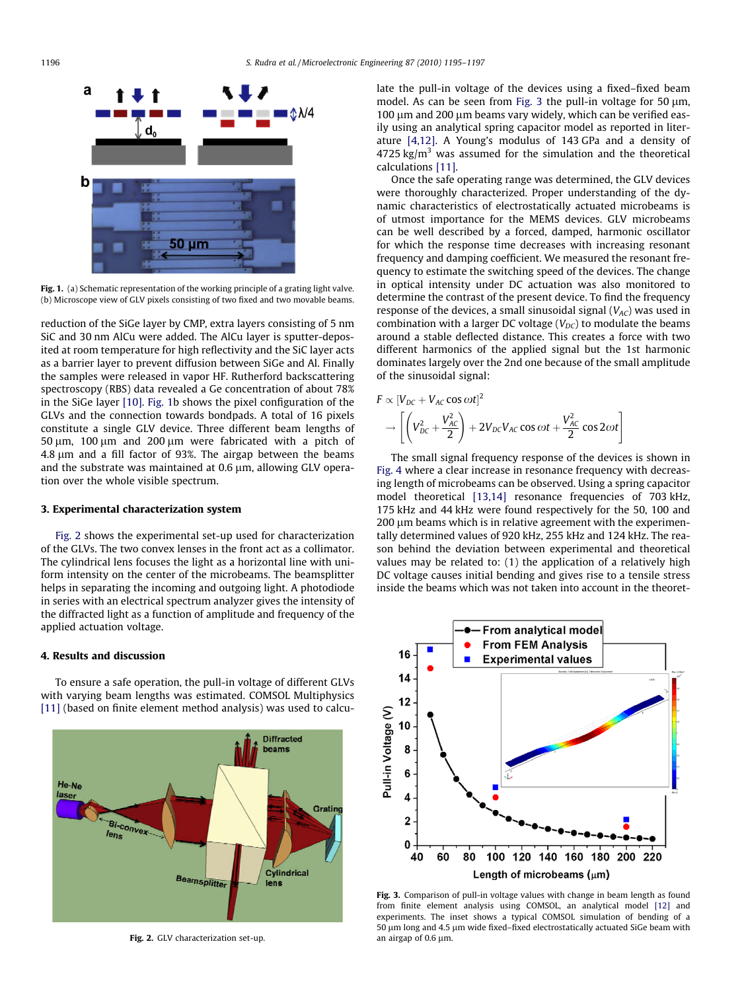<span id="page-1-0"></span>

Fig. 1. (a) Schematic representation of the working principle of a grating light valve. (b) Microscope view of GLV pixels consisting of two fixed and two movable beams.

reduction of the SiGe layer by CMP, extra layers consisting of 5 nm SiC and 30 nm AlCu were added. The AlCu layer is sputter-deposited at room temperature for high reflectivity and the SiC layer acts as a barrier layer to prevent diffusion between SiGe and Al. Finally the samples were released in vapor HF. Rutherford backscattering spectroscopy (RBS) data revealed a Ge concentration of about 78% in the SiGe layer [\[10\].](#page-2-0) Fig. 1b shows the pixel configuration of the GLVs and the connection towards bondpads. A total of 16 pixels constitute a single GLV device. Three different beam lengths of 50  $\mu$ m, 100  $\mu$ m and 200  $\mu$ m were fabricated with a pitch of  $4.8 \mu m$  and a fill factor of 93%. The airgap between the beams and the substrate was maintained at  $0.6 \mu m$ , allowing GLV operation over the whole visible spectrum.

### 3. Experimental characterization system

Fig. 2 shows the experimental set-up used for characterization of the GLVs. The two convex lenses in the front act as a collimator. The cylindrical lens focuses the light as a horizontal line with uniform intensity on the center of the microbeams. The beamsplitter helps in separating the incoming and outgoing light. A photodiode in series with an electrical spectrum analyzer gives the intensity of the diffracted light as a function of amplitude and frequency of the applied actuation voltage.

#### 4. Results and discussion

To ensure a safe operation, the pull-in voltage of different GLVs with varying beam lengths was estimated. COMSOL Multiphysics [\[11\]](#page-2-0) (based on finite element method analysis) was used to calcu-



Fig. 2. GLV characterization set-up.

late the pull-in voltage of the devices using a fixed–fixed beam model. As can be seen from Fig. 3 the pull-in voltage for 50 um, 100 um and 200 um beams vary widely, which can be verified easily using an analytical spring capacitor model as reported in literature [\[4,12\]](#page-2-0). A Young's modulus of 143 GPa and a density of  $4725$  kg/m<sup>3</sup> was assumed for the simulation and the theoretical calculations [\[11\].](#page-2-0)

Once the safe operating range was determined, the GLV devices were thoroughly characterized. Proper understanding of the dynamic characteristics of electrostatically actuated microbeams is of utmost importance for the MEMS devices. GLV microbeams can be well described by a forced, damped, harmonic oscillator for which the response time decreases with increasing resonant frequency and damping coefficient. We measured the resonant frequency to estimate the switching speed of the devices. The change in optical intensity under DC actuation was also monitored to determine the contrast of the present device. To find the frequency response of the devices, a small sinusoidal signal  $(V_{AC})$  was used in combination with a larger DC voltage  $(V_{DC})$  to modulate the beams around a stable deflected distance. This creates a force with two different harmonics of the applied signal but the 1st harmonic dominates largely over the 2nd one because of the small amplitude of the sinusoidal signal:

$$
F \propto [V_{DC} + V_{AC} \cos \omega t]^2
$$
  
\n
$$
\rightarrow \left[ \left( V_{DC}^2 + \frac{V_{AC}^2}{2} \right) + 2V_{DC}V_{AC} \cos \omega t + \frac{V_{AC}^2}{2} \cos 2\omega t \right]
$$

The small signal frequency response of the devices is shown in [Fig. 4](#page-2-0) where a clear increase in resonance frequency with decreasing length of microbeams can be observed. Using a spring capacitor model theoretical [\[13,14\]](#page-2-0) resonance frequencies of 703 kHz, 175 kHz and 44 kHz were found respectively for the 50, 100 and 200 µm beams which is in relative agreement with the experimentally determined values of 920 kHz, 255 kHz and 124 kHz. The reason behind the deviation between experimental and theoretical values may be related to: (1) the application of a relatively high DC voltage causes initial bending and gives rise to a tensile stress inside the beams which was not taken into account in the theoret-



Fig. 3. Comparison of pull-in voltage values with change in beam length as found from finite element analysis using COMSOL, an analytical model [\[12\]](#page-2-0) and experiments. The inset shows a typical COMSOL simulation of bending of a 50 µm long and 4.5 µm wide fixed–fixed electrostatically actuated SiGe beam with an airgap of  $0.6 \mu m$ .